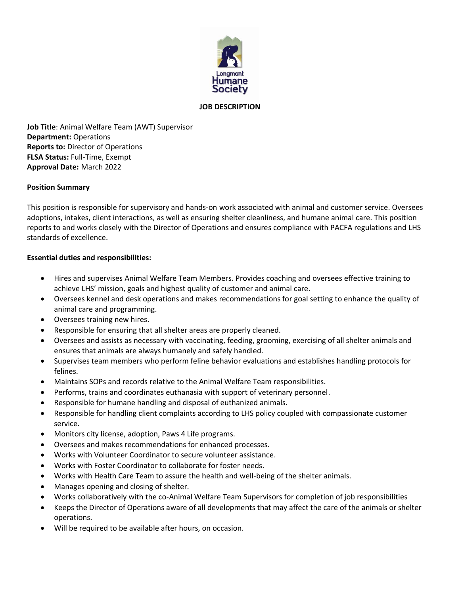

## **JOB DESCRIPTION**

**Job Title**: Animal Welfare Team (AWT) Supervisor **Department:** Operations **Reports to:** Director of Operations **FLSA Status:** Full-Time, Exempt **Approval Date:** March 2022

## **Position Summary**

This position is responsible for supervisory and hands-on work associated with animal and customer service. Oversees adoptions, intakes, client interactions, as well as ensuring shelter cleanliness, and humane animal care. This position reports to and works closely with the Director of Operations and ensures compliance with PACFA regulations and LHS standards of excellence.

## **Essential duties and responsibilities:**

- Hires and supervises Animal Welfare Team Members. Provides coaching and oversees effective training to achieve LHS' mission, goals and highest quality of customer and animal care.
- Oversees kennel and desk operations and makes recommendations for goal setting to enhance the quality of animal care and programming.
- Oversees training new hires.
- Responsible for ensuring that all shelter areas are properly cleaned.
- Oversees and assists as necessary with vaccinating, feeding, grooming, exercising of all shelter animals and ensures that animals are always humanely and safely handled.
- Supervises team members who perform feline behavior evaluations and establishes handling protocols for felines.
- Maintains SOPs and records relative to the Animal Welfare Team responsibilities.
- Performs, trains and coordinates euthanasia with support of veterinary personnel.
- Responsible for humane handling and disposal of euthanized animals.
- Responsible for handling client complaints according to LHS policy coupled with compassionate customer service.
- Monitors city license, adoption, Paws 4 Life programs.
- Oversees and makes recommendations for enhanced processes.
- Works with Volunteer Coordinator to secure volunteer assistance.
- Works with Foster Coordinator to collaborate for foster needs.
- Works with Health Care Team to assure the health and well-being of the shelter animals.
- Manages opening and closing of shelter.
- Works collaboratively with the co-Animal Welfare Team Supervisors for completion of job responsibilities
- Keeps the Director of Operations aware of all developments that may affect the care of the animals or shelter operations.
- Will be required to be available after hours, on occasion.